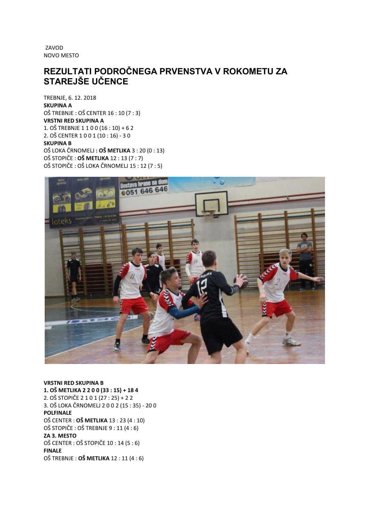ZAVOD NOVO MESTO

## **REZULTATI PODROČNEGA PRVENSTVA V ROKOMETU ZA STAREJŠE UČENCE**

TREBNJE, 6. 12. 2018 **SKUPINA A**  OŠ TREBNJE : OŠ CENTER 16 : 10 (7 : 3) **VRSTNI RED SKUPINA A**  1. OŠ TREBNJE 1 1 0 0 (16 : 10) + 6 2 2. OŠ CENTER 1 0 0 1 (10 : 16) - 3 0 **SKUPINA B**  OŠ LOKA ČRNOMELJ **: OŠ METLIKA** 3 : 20 (0 : 13) OŠ STOPIČE : **OŠ METLIKA** 12 : 13 (7 : 7) OŠ STOPIČE : OŠ LOKA ČRNOMELJ 15 : 12 (7 : 5)



## **VRSTNI RED SKUPINA B 1. OŠ METLIKA 2 2 0 0 (33 : 15) + 18 4**  2. OŠ STOPIČE 2 1 0 1 (27 : 25) + 2 2 3. OŠ LOKA ČRNOMELJ 2 0 0 2 (15 : 35) - 20 0

**POLFINALE**  OŠ CENTER : **OŠ METLIKA** 13 : 23 (4 : 10) OŠ STOPIČE : OŠ TREBNJE 9 : 11 (4 : 6) **ZA 3. MESTO**  OŠ CENTER : OŠ STOPIČE 10 : 14 (5 : 6) **FINALE**  OŠ TREBNJE : **OŠ METLIKA** 12 : 11 (4 : 6)